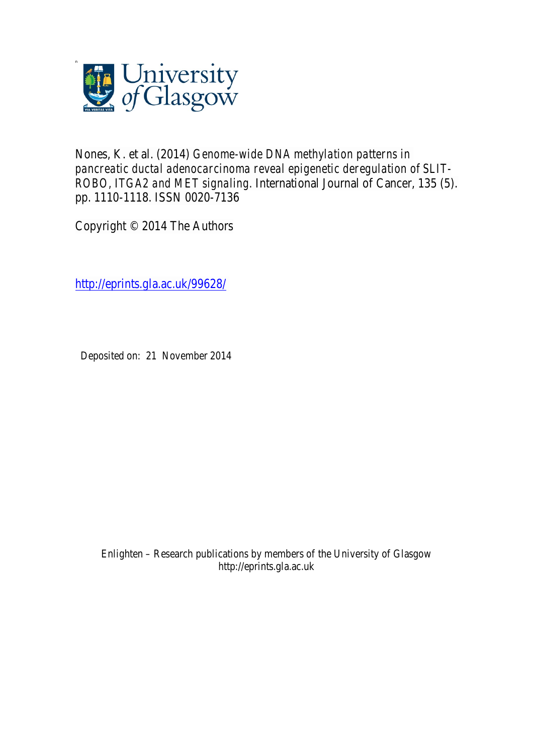

Nones, K. et al. (2014) *Genome-wide DNA methylation patterns in pancreatic ductal adenocarcinoma reveal epigenetic deregulation of SLIT-ROBO, ITGA2 and MET signaling.* International Journal of Cancer, 135 (5). pp. 1110-1118. ISSN 0020-7136

Copyright © 2014 The Authors

http://eprints.gla.ac.uk/99628/

Deposited on: 21 November 2014

Enlighten – Research publications by members of the University of Glasgow http://eprints.gla.ac.uk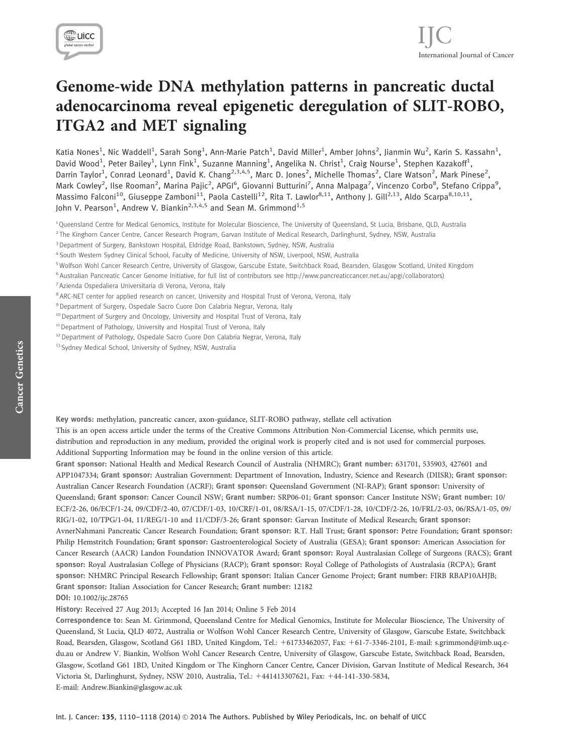

# Genome-wide DNA methylation patterns in pancreatic ductal adenocarcinoma reveal epigenetic deregulation of SLIT-ROBO, ITGA2 and MET signaling

Katia Nones<sup>1</sup>, Nic Waddell<sup>1</sup>, Sarah Song<sup>1</sup>, Ann-Marie Patch<sup>1</sup>, David Miller<sup>1</sup>, Amber Johns<sup>2</sup>, Jianmin Wu<sup>2</sup>, Karin S. Kassahn<sup>1</sup>, David Wood<sup>1</sup>, Peter Bailey<sup>1</sup>, Lynn Fink<sup>1</sup>, Suzanne Manning<sup>1</sup>, Angelika N. Christ<sup>1</sup>, Craig Nourse<sup>1</sup>, Stephen Kazakoff<sup>1</sup>, Darrin Taylor<sup>1</sup>, Conrad Leonard<sup>1</sup>, David K. Chang<sup>2,3,4,5</sup>, Marc D. Jones<sup>2</sup>, Michelle Thomas<sup>2</sup>, Clare Watson<sup>2</sup>, Mark Pinese<sup>2</sup>, Mark Cowley<sup>2</sup>, Ilse Rooman<sup>2</sup>, Marina Pajic<sup>2</sup>, APGI<sup>6</sup>, Giovanni Butturini<sup>7</sup>, Anna Malpaga<sup>7</sup>, Vincenzo Corbo<sup>8</sup>, Stefano Crippa<sup>9</sup>, Massimo Falconi<sup>10</sup>, Giuseppe Zamboni<sup>11</sup>, Paola Castelli<sup>12</sup>, Rita T. Lawlor<sup>8,11</sup>, Anthony J. Gill<sup>2,13</sup>, Aldo Scarpa<sup>8,10,11</sup>, John V. Pearson<sup>1</sup>, Andrew V. Biankin<sup>2,3,4,5</sup> and Sean M. Grimmond<sup>1,5</sup>

<sup>2</sup> The Kinghorn Cancer Centre, Cancer Research Program, Garvan Institute of Medical Research, Darlinghurst, Sydney, NSW, Australia

- <sup>4</sup> South Western Sydney Clinical School, Faculty of Medicine, University of NSW, Liverpool, NSW, Australia
- <sup>5</sup> Wolfson Wohl Cancer Research Centre, University of Glasgow, Garscube Estate, Switchback Road, Bearsden, Glasgow Scotland, United Kingdom
- <sup>6</sup> Australian Pancreatic Cancer Genome Initiative, for full list of contributors see http://www.pancreaticcancer.net.au/apgi/collaborators)
- <sup>7</sup> Azienda Ospedaliera Universitaria di Verona, Verona, Italy
- <sup>8</sup> ARC-NET center for applied research on cancer, University and Hospital Trust of Verona, Verona, Italy
- <sup>9</sup> Department of Surgery, Ospedale Sacro Cuore Don Calabria Negrar, Verona, Italy
- <sup>10</sup> Department of Surgery and Oncology, University and Hospital Trust of Verona, Italy
- <sup>11</sup> Department of Pathology, University and Hospital Trust of Verona, Italy
- <sup>12</sup> Department of Pathology, Ospedale Sacro Cuore Don Calabria Negrar, Verona, Italy
- <sup>13</sup> Sydney Medical School, University of Sydney, NSW, Australia

Key words: methylation, pancreatic cancer, axon-guidance, SLIT-ROBO pathway, stellate cell activation

This is an open access article under the terms of the Creative Commons Attribution Non-Commercial License, which permits use, distribution and reproduction in any medium, provided the original work is properly cited and is not used for commercial purposes. Additional Supporting Information may be found in the online version of this article.

Grant sponsor: National Health and Medical Research Council of Australia (NHMRC); Grant number: 631701, 535903, 427601 and APP1047334; Grant sponsor: Australian Government: Department of Innovation, Industry, Science and Research (DIISR); Grant sponsor: Australian Cancer Research Foundation (ACRF); Grant sponsor: Queensland Government (NI-RAP); Grant sponsor: University of Queensland; Grant sponsor: Cancer Council NSW; Grant number: SRP06-01; Grant sponsor: Cancer Institute NSW; Grant number: 10/ ECF/2-26, 06/ECF/1-24, 09/CDF/2-40, 07/CDF/1-03, 10/CRF/1-01, 08/RSA/1-15, 07/CDF/1-28, 10/CDF/2-26, 10/FRL/2-03, 06/RSA/1-05, 09/ RIG/1-02, 10/TPG/1-04, 11/REG/1-10 and 11/CDF/3-26; Grant sponsor: Garvan Institute of Medical Research; Grant sponsor: AvnerNahmani Pancreatic Cancer Research Foundation; Grant sponsor: R.T. Hall Trust; Grant sponsor: Petre Foundation; Grant sponsor: Philip Hemstritch Foundation; Grant sponsor: Gastroenterological Society of Australia (GESA); Grant sponsor: American Association for Cancer Research (AACR) Landon Foundation INNOVATOR Award; Grant sponsor: Royal Australasian College of Surgeons (RACS); Grant sponsor: Royal Australasian College of Physicians (RACP); Grant sponsor: Royal College of Pathologists of Australasia (RCPA); Grant sponsor: NHMRC Principal Research Fellowship; Grant sponsor: Italian Cancer Genome Project; Grant number: FIRB RBAP10AHJB; Grant sponsor: Italian Association for Cancer Research; Grant number: 12182 DOI: 10.1002/ijc.28765

History: Received 27 Aug 2013; Accepted 16 Jan 2014; Online 5 Feb 2014

Correspondence to: Sean M. Grimmond, Queensland Centre for Medical Genomics, Institute for Molecular Bioscience, The University of Queensland, St Lucia, QLD 4072, Australia or Wolfson Wohl Cancer Research Centre, University of Glasgow, Garscube Estate, Switchback Road, Bearsden, Glasgow, Scotland G61 1BD, United Kingdom, Tel.: 161733462057, Fax: 161-7-3346-2101, E-mail: s.grimmond@imb.uq.edu.au or Andrew V. Biankin, Wolfson Wohl Cancer Research Centre, University of Glasgow, Garscube Estate, Switchback Road, Bearsden, Glasgow, Scotland G61 1BD, United Kingdom or The Kinghorn Cancer Centre, Cancer Division, Garvan Institute of Medical Research, 364 Victoria St, Darlinghurst, Sydney, NSW 2010, Australia, Tel.: 1441413307621, Fax: 144-141-330-5834, E-mail: Andrew.Biankin@glasgow.ac.uk

<sup>1</sup> Queensland Centre for Medical Genomics, Institute for Molecular Bioscience, The University of Queensland, St Lucia, Brisbane, QLD, Australia

<sup>3</sup> Department of Surgery, Bankstown Hospital, Eldridge Road, Bankstown, Sydney, NSW, Australia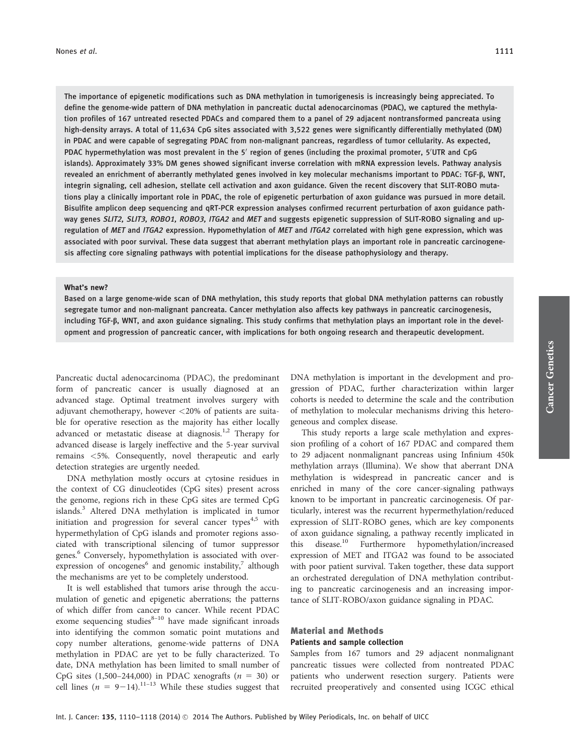The importance of epigenetic modifications such as DNA methylation in tumorigenesis is increasingly being appreciated. To define the genome-wide pattern of DNA methylation in pancreatic ductal adenocarcinomas (PDAC), we captured the methylation profiles of 167 untreated resected PDACs and compared them to a panel of 29 adjacent nontransformed pancreata using high-density arrays. A total of 11,634 CpG sites associated with 3,522 genes were significantly differentially methylated (DM) in PDAC and were capable of segregating PDAC from non-malignant pancreas, regardless of tumor cellularity. As expected, PDAC hypermethylation was most prevalent in the 5' region of genes (including the proximal promoter, 5'UTR and CpG islands). Approximately 33% DM genes showed significant inverse correlation with mRNA expression levels. Pathway analysis revealed an enrichment of aberrantly methylated genes involved in key molecular mechanisms important to PDAC: TGF-b, WNT, integrin signaling, cell adhesion, stellate cell activation and axon guidance. Given the recent discovery that SLIT-ROBO mutations play a clinically important role in PDAC, the role of epigenetic perturbation of axon guidance was pursued in more detail. Bisulfite amplicon deep sequencing and qRT-PCR expression analyses confirmed recurrent perturbation of axon guidance pathway genes SLIT2, SLIT3, ROBO1, ROBO3, ITGA2 and MET and suggests epigenetic suppression of SLIT-ROBO signaling and upregulation of MET and ITGA2 expression. Hypomethylation of MET and ITGA2 correlated with high gene expression, which was associated with poor survival. These data suggest that aberrant methylation plays an important role in pancreatic carcinogenesis affecting core signaling pathways with potential implications for the disease pathophysiology and therapy.

#### What's new?

Based on a large genome-wide scan of DNA methylation, this study reports that global DNA methylation patterns can robustly segregate tumor and non-malignant pancreata. Cancer methylation also affects key pathways in pancreatic carcinogenesis, including TGF-ß, WNT, and axon guidance signaling. This study confirms that methylation plays an important role in the development and progression of pancreatic cancer, with implications for both ongoing research and therapeutic development.

Pancreatic ductal adenocarcinoma (PDAC), the predominant form of pancreatic cancer is usually diagnosed at an advanced stage. Optimal treatment involves surgery with adjuvant chemotherapy, however <20% of patients are suitable for operative resection as the majority has either locally advanced or metastatic disease at diagnosis.<sup>1,2</sup> Therapy for advanced disease is largely ineffective and the 5-year survival remains <5%. Consequently, novel therapeutic and early detection strategies are urgently needed.

DNA methylation mostly occurs at cytosine residues in the context of CG dinucleotides (CpG sites) present across the genome, regions rich in these CpG sites are termed CpG islands.<sup>3</sup> Altered DNA methylation is implicated in tumor initiation and progression for several cancer types<sup>4,5</sup> with hypermethylation of CpG islands and promoter regions associated with transcriptional silencing of tumor suppressor genes.<sup>6</sup> Conversely, hypomethylation is associated with overexpression of oncogenes<sup>6</sup> and genomic instability,<sup>7</sup> although the mechanisms are yet to be completely understood.

It is well established that tumors arise through the accumulation of genetic and epigenetic aberrations; the patterns of which differ from cancer to cancer. While recent PDAC exome sequencing studies $8-10$  have made significant inroads into identifying the common somatic point mutations and copy number alterations, genome-wide patterns of DNA methylation in PDAC are yet to be fully characterized. To date, DNA methylation has been limited to small number of CpG sites  $(1,500-244,000)$  in PDAC xenografts  $(n = 30)$  or cell lines ( $n = 9-14$ ).<sup>11–13</sup> While these studies suggest that DNA methylation is important in the development and progression of PDAC, further characterization within larger cohorts is needed to determine the scale and the contribution of methylation to molecular mechanisms driving this heterogeneous and complex disease.

This study reports a large scale methylation and expression profiling of a cohort of 167 PDAC and compared them to 29 adjacent nonmalignant pancreas using Infinium 450k methylation arrays (Illumina). We show that aberrant DNA methylation is widespread in pancreatic cancer and is enriched in many of the core cancer-signaling pathways known to be important in pancreatic carcinogenesis. Of particularly, interest was the recurrent hypermethylation/reduced expression of SLIT-ROBO genes, which are key components of axon guidance signaling, a pathway recently implicated in this disease.<sup>10</sup> Furthermore hypomethylation/increased expression of MET and ITGA2 was found to be associated with poor patient survival. Taken together, these data support an orchestrated deregulation of DNA methylation contributing to pancreatic carcinogenesis and an increasing importance of SLIT-ROBO/axon guidance signaling in PDAC.

## Material and Methods Patients and sample collection

Samples from 167 tumors and 29 adjacent nonmalignant pancreatic tissues were collected from nontreated PDAC patients who underwent resection surgery. Patients were recruited preoperatively and consented using ICGC ethical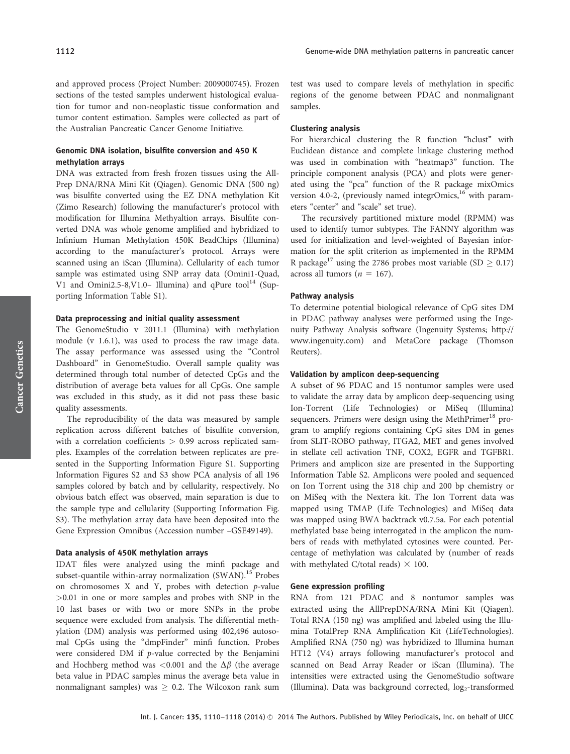and approved process (Project Number: 2009000745). Frozen sections of the tested samples underwent histological evaluation for tumor and non-neoplastic tissue conformation and tumor content estimation. Samples were collected as part of the Australian Pancreatic Cancer Genome Initiative.

## Genomic DNA isolation, bisulfite conversion and 450 K methylation arrays

DNA was extracted from fresh frozen tissues using the All-Prep DNA/RNA Mini Kit (Qiagen). Genomic DNA (500 ng) was bisulfite converted using the EZ DNA methylation Kit (Zimo Research) following the manufacturer's protocol with modification for Illumina Methyaltion arrays. Bisulfite converted DNA was whole genome amplified and hybridized to Infinium Human Methylation 450K BeadChips (Illumina) according to the manufacturer's protocol. Arrays were scanned using an iScan (Illumina). Cellularity of each tumor sample was estimated using SNP array data (Omini1-Quad, V1 and Omini2.5-8, V1.0– Illumina) and qPure tool<sup>14</sup> (Supporting Information Table S1).

### Data preprocessing and initial quality assessment

The GenomeStudio v 2011.1 (Illumina) with methylation module (v 1.6.1), was used to process the raw image data. The assay performance was assessed using the "Control Dashboard" in GenomeStudio. Overall sample quality was determined through total number of detected CpGs and the distribution of average beta values for all CpGs. One sample was excluded in this study, as it did not pass these basic quality assessments.

The reproducibility of the data was measured by sample replication across different batches of bisulfite conversion, with a correlation coefficients > 0.99 across replicated samples. Examples of the correlation between replicates are presented in the Supporting Information Figure S1. Supporting Information Figures S2 and S3 show PCA analysis of all 196 samples colored by batch and by cellularity, respectively. No obvious batch effect was observed, main separation is due to the sample type and cellularity (Supporting Information Fig. S3). The methylation array data have been deposited into the Gene Expression Omnibus (Accession number –GSE49149).

## Data analysis of 450K methylation arrays

IDAT files were analyzed using the minfi package and subset-quantile within-array normalization  $(SWAN)$ <sup>15</sup> Probes on chromosomes  $X$  and  $Y$ , probes with detection  $p$ -value >0.01 in one or more samples and probes with SNP in the 10 last bases or with two or more SNPs in the probe sequence were excluded from analysis. The differential methylation (DM) analysis was performed using 402,496 autosomal CpGs using the "dmpFinder" minfi function. Probes were considered DM if p-value corrected by the Benjamini and Hochberg method was <0.001 and the  $\Delta\beta$  (the average beta value in PDAC samples minus the average beta value in nonmalignant samples) was  $\geq$  0.2. The Wilcoxon rank sum

test was used to compare levels of methylation in specific regions of the genome between PDAC and nonmalignant samples.

#### Clustering analysis

For hierarchical clustering the R function "hclust" with Euclidean distance and complete linkage clustering method was used in combination with "heatmap3" function. The principle component analysis (PCA) and plots were generated using the "pca" function of the R package mixOmics version 4.0-2, (previously named integrOmics, $^{16}$  with parameters "center" and "scale" set true).

The recursively partitioned mixture model (RPMM) was used to identify tumor subtypes. The FANNY algorithm was used for initialization and level-weighted of Bayesian information for the split criterion as implemented in the RPMM R package<sup>17</sup> using the 2786 probes most variable (SD  $\geq 0.17$ ) across all tumors ( $n = 167$ ).

#### Pathway analysis

To determine potential biological relevance of CpG sites DM in PDAC pathway analyses were performed using the Ingenuity Pathway Analysis software (Ingenuity Systems; [http://](http://www.ingenuity.com) [www.ingenuity.com\)](http://www.ingenuity.com) and MetaCore package (Thomson Reuters).

#### Validation by amplicon deep-sequencing

A subset of 96 PDAC and 15 nontumor samples were used to validate the array data by amplicon deep-sequencing using Ion-Torrent (Life Technologies) or MiSeq (Illumina) sequencers. Primers were design using the MethPrimer<sup>18</sup> program to amplify regions containing CpG sites DM in genes from SLIT-ROBO pathway, ITGA2, MET and genes involved in stellate cell activation TNF, COX2, EGFR and TGFBR1. Primers and amplicon size are presented in the Supporting Information Table S2. Amplicons were pooled and sequenced on Ion Torrent using the 318 chip and 200 bp chemistry or on MiSeq with the Nextera kit. The Ion Torrent data was mapped using TMAP (Life Technologies) and MiSeq data was mapped using BWA backtrack v0.7.5a. For each potential methylated base being interrogated in the amplicon the numbers of reads with methylated cytosines were counted. Percentage of methylation was calculated by (number of reads with methylated C/total reads)  $\times$  100.

#### Gene expression profiling

RNA from 121 PDAC and 8 nontumor samples was extracted using the AllPrepDNA/RNA Mini Kit (Qiagen). Total RNA (150 ng) was amplified and labeled using the Illumina TotalPrep RNA Amplification Kit (LifeTechnologies). Amplified RNA (750 ng) was hybridized to Illumina human HT12 (V4) arrays following manufacturer's protocol and scanned on Bead Array Reader or iScan (Illumina). The intensities were extracted using the GenomeStudio software (Illumina). Data was background corrected, log<sub>2</sub>-transformed

Cancer Genetics

**Cancer Genetics**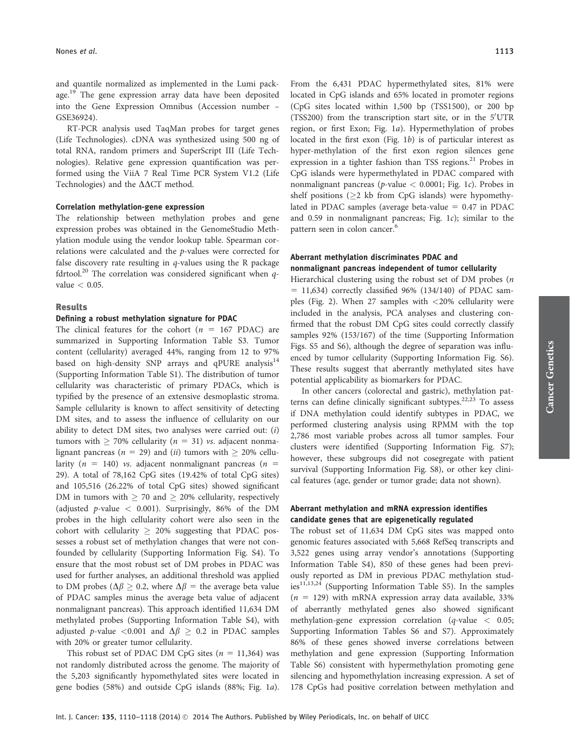and quantile normalized as implemented in the Lumi package.<sup>19</sup> The gene expression array data have been deposited into the Gene Expression Omnibus (Accession number – GSE36924).

RT-PCR analysis used TaqMan probes for target genes (Life Technologies). cDNA was synthesized using 500 ng of total RNA, random primers and SuperScript III (Life Technologies). Relative gene expression quantification was performed using the ViiA 7 Real Time PCR System V1.2 (Life Technologies) and the  $\Delta\Delta CT$  method.

#### Correlation methylation-gene expression

The relationship between methylation probes and gene expression probes was obtained in the GenomeStudio Methylation module using the vendor lookup table. Spearman correlations were calculated and the p-values were corrected for false discovery rate resulting in  $q$ -values using the R package fdrtool.<sup>20</sup> The correlation was considered significant when  $q$ value  $< 0.05$ .

## Results

### Defining a robust methylation signature for PDAC

The clinical features for the cohort ( $n = 167$  PDAC) are summarized in Supporting Information Table S3. Tumor content (cellularity) averaged 44%, ranging from 12 to 97% based on high-density SNP arrays and qPURE analysis $14$ (Supporting Information Table S1). The distribution of tumor cellularity was characteristic of primary PDACs, which is typified by the presence of an extensive desmoplastic stroma. Sample cellularity is known to affect sensitivity of detecting DM sites, and to assess the influence of cellularity on our ability to detect DM sites, two analyses were carried out: (i) tumors with  $\geq 70\%$  cellularity ( $n = 31$ ) vs. adjacent nonmalignant pancreas ( $n = 29$ ) and (*ii*) tumors with  $\geq 20\%$  cellularity ( $n = 140$ ) vs. adjacent nonmalignant pancreas ( $n =$ 29). A total of 78,162 CpG sites (19.42% of total CpG sites) and 105,516 (26.22% of total CpG sites) showed significant DM in tumors with  $\geq 70$  and  $\geq 20\%$  cellularity, respectively (adjusted p-value  $<$  0.001). Surprisingly, 86% of the DM probes in the high cellularity cohort were also seen in the cohort with cellularity  $\geq$  20% suggesting that PDAC possesses a robust set of methylation changes that were not confounded by cellularity (Supporting Information Fig. S4). To ensure that the most robust set of DM probes in PDAC was used for further analyses, an additional threshold was applied to DM probes ( $\Delta \beta \ge 0.2$ , where  $\Delta \beta =$  the average beta value of PDAC samples minus the average beta value of adjacent nonmalignant pancreas). This approach identified 11,634 DM methylated probes (Supporting Information Table S4), with adjusted p-value < 0.001 and  $\Delta\beta \geq 0.2$  in PDAC samples with 20% or greater tumor cellularity.

This robust set of PDAC DM CpG sites  $(n = 11,364)$  was not randomly distributed across the genome. The majority of the 5,203 significantly hypomethylated sites were located in gene bodies (58%) and outside CpG islands (88%; Fig. 1a). From the 6,431 PDAC hypermethylated sites, 81% were located in CpG islands and 65% located in promoter regions (CpG sites located within 1,500 bp (TSS1500), or 200 bp (TSS200) from the transcription start site, or in the 5'UTR region, or first Exon; Fig. 1a). Hypermethylation of probes located in the first exon (Fig. 1b) is of particular interest as hyper-methylation of the first exon region silences gene expression in a tighter fashion than TSS regions.<sup>21</sup> Probes in CpG islands were hypermethylated in PDAC compared with nonmalignant pancreas ( $p$ -value < 0.0001; Fig. 1c). Probes in shelf positions ( $\geq$ 2 kb from CpG islands) were hypomethylated in PDAC samples (average beta-value  $= 0.47$  in PDAC and 0.59 in nonmalignant pancreas; Fig. 1c); similar to the pattern seen in colon cancer.<sup>6</sup>

## Aberrant methylation discriminates PDAC and nonmalignant pancreas independent of tumor cellularity

Hierarchical clustering using the robust set of DM probes  $(n)$  $= 11,634$ ) correctly classified 96% (134/140) of PDAC samples (Fig. 2). When 27 samples with <20% cellularity were included in the analysis, PCA analyses and clustering confirmed that the robust DM CpG sites could correctly classify samples 92% (153/167) of the time (Supporting Information Figs. S5 and S6), although the degree of separation was influenced by tumor cellularity (Supporting Information Fig. S6). These results suggest that aberrantly methylated sites have potential applicability as biomarkers for PDAC.

In other cancers (colorectal and gastric), methylation patterns can define clinically significant subtypes.<sup>22,23</sup> To assess if DNA methylation could identify subtypes in PDAC, we performed clustering analysis using RPMM with the top 2,786 most variable probes across all tumor samples. Four clusters were identified (Supporting Information Fig. S7); however, these subgroups did not cosegregate with patient survival (Supporting Information Fig. S8), or other key clinical features (age, gender or tumor grade; data not shown).

## Aberrant methylation and mRNA expression identifies candidate genes that are epigenetically regulated

The robust set of 11,634 DM CpG sites was mapped onto genomic features associated with 5,668 RefSeq transcripts and 3,522 genes using array vendor's annotations (Supporting Information Table S4), 850 of these genes had been previously reported as DM in previous PDAC methylation studies $11,13,24$  (Supporting Information Table S5). In the samples  $(n = 129)$  with mRNA expression array data available, 33% of aberrantly methylated genes also showed significant methylation-gene expression correlation  $(q$ -value  $\lt$  0.05; Supporting Information Tables S6 and S7). Approximately 86% of these genes showed inverse correlations between methylation and gene expression (Supporting Information Table S6) consistent with hypermethylation promoting gene silencing and hypomethylation increasing expression. A set of 178 CpGs had positive correlation between methylation and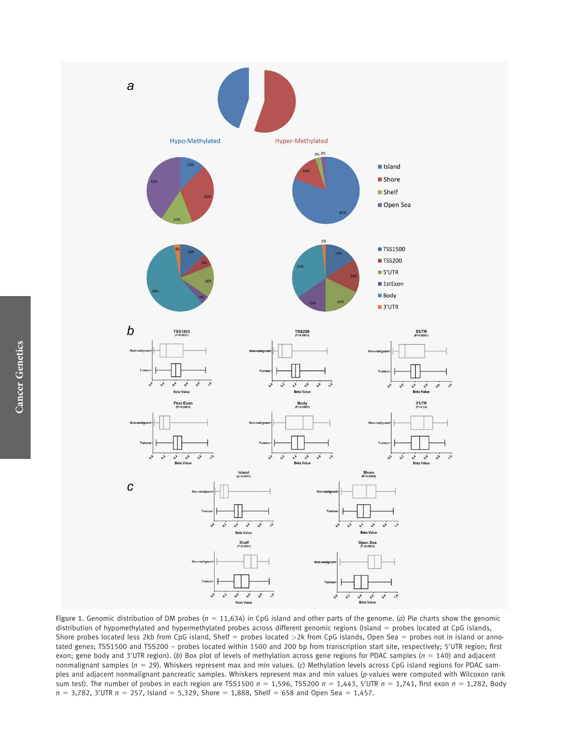

Figure 1. Genomic distribution of DM probes ( $n = 11,634$ ) in CpG island and other parts of the genome. (a) Pie charts show the genomic distribution of hypomethylated and hypermethylated probes across different genomic regions (Island = probes located at CpG islands, Shore probes located less 2kb from CpG island, Shelf = probes located >2k from CpG islands, Open Sea = probes not in island or annotated genes; TSS1500 and TSS200 - probes located within 1500 and 200 bp from transcription start site, respectively; 5'UTR region; first exon; gene body and 3'UTR region). (b) Box plot of levels of methylation across gene regions for PDAC samples ( $n = 140$ ) and adjacent nonmalignant samples ( $n = 29$ ). Whiskers represent max and min values. (c) Methylation levels across CpG island regions for PDAC samples and adjacent nonmalignant pancreatic samples. Whiskers represent max and min values (p-values were computed with Wilcoxon rank sum test). The number of probes in each region are TSS1500  $n = 1,596$ , TSS200  $n = 1,443$ , 5'UTR  $n = 1,741$ , first exon  $n = 1,282$ , Body  $n = 3,782$ , 3'UTR  $n = 257$ , Island = 5,329, Shore = 1,888, Shelf = 658 and Open Sea = 1,457.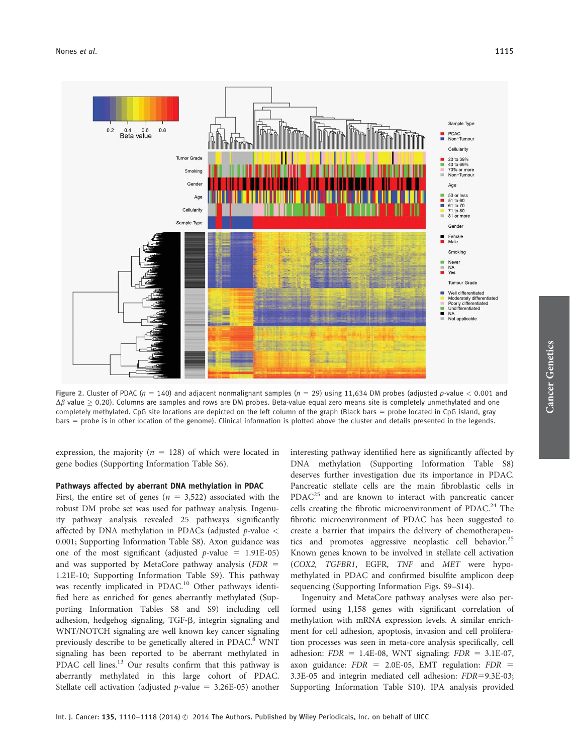

Figure 2. Cluster of PDAC ( $n = 140$ ) and adjacent nonmalignant samples ( $n = 29$ ) using 11,634 DM probes (adjusted p-value < 0.001 and  $\Delta\beta$  value  $\geq$  0.20). Columns are samples and rows are DM probes. Beta-value equal zero means site is completely unmethylated and one completely methylated. CpG site locations are depicted on the left column of the graph (Black bars = probe located in CpG island, gray bars = probe is in other location of the genome). Clinical information is plotted above the cluster and details presented in the legends.

expression, the majority ( $n = 128$ ) of which were located in gene bodies (Supporting Information Table S6).

## Pathways affected by aberrant DNA methylation in PDAC

First, the entire set of genes ( $n = 3,522$ ) associated with the robust DM probe set was used for pathway analysis. Ingenuity pathway analysis revealed 25 pathways significantly affected by DNA methylation in PDACs (adjusted  $p$ -value  $\lt$ 0.001; Supporting Information Table S8). Axon guidance was one of the most significant (adjusted  $p$ -value = 1.91E-05) and was supported by MetaCore pathway analysis ( $FDR =$ 1.21E-10; Supporting Information Table S9). This pathway was recently implicated in PDAC.<sup>10</sup> Other pathways identified here as enriched for genes aberrantly methylated (Supporting Information Tables S8 and S9) including cell adhesion, hedgehog signaling, TGF-b, integrin signaling and WNT/NOTCH signaling are well known key cancer signaling previously describe to be genetically altered in PDAC.<sup>8</sup> WNT signaling has been reported to be aberrant methylated in PDAC cell lines.<sup>13</sup> Our results confirm that this pathway is aberrantly methylated in this large cohort of PDAC. Stellate cell activation (adjusted  $p$ -value = 3.26E-05) another interesting pathway identified here as significantly affected by DNA methylation (Supporting Information Table S8) deserves further investigation due its importance in PDAC. Pancreatic stellate cells are the main fibroblastic cells in PDAC<sup>25</sup> and are known to interact with pancreatic cancer cells creating the fibrotic microenvironment of PDAC.<sup>24</sup> The fibrotic microenvironment of PDAC has been suggested to create a barrier that impairs the delivery of chemotherapeutics and promotes aggressive neoplastic cell behavior.<sup>25</sup> Known genes known to be involved in stellate cell activation (COX2, TGFBR1, EGFR, TNF and MET were hypomethylated in PDAC and confirmed bisulfite amplicon deep sequencing (Supporting Information Figs. S9–S14).

Ingenuity and MetaCore pathway analyses were also performed using 1,158 genes with significant correlation of methylation with mRNA expression levels. A similar enrichment for cell adhesion, apoptosis, invasion and cell proliferation processes was seen in meta-core analysis specifically, cell adhesion:  $FDR = 1.4E-08$ , WNT signaling:  $FDR = 3.1E-07$ , axon guidance:  $FDR = 2.0E-05$ , EMT regulation:  $FDR =$ 3.3E-05 and integrin mediated cell adhesion: FDR=9.3E-03; Supporting Information Table S10). IPA analysis provided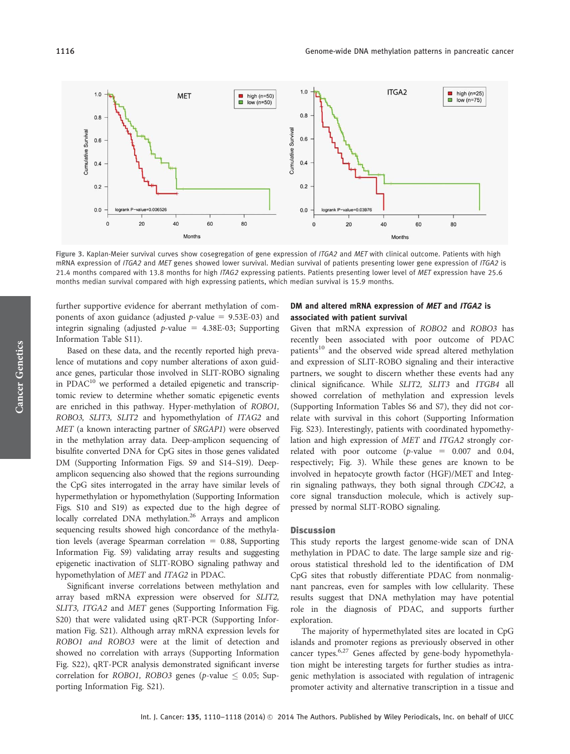Figure 3. Kaplan-Meier survival curves show cosegregation of gene expression of ITGA2 and MET with clinical outcome. Patients with high mRNA expression of ITGA2 and MET genes showed lower survival. Median survival of patients presenting lower gene expression of ITGA2 is 21.4 months compared with 13.8 months for high ITAG2 expressing patients. Patients presenting lower level of MET expression have 25.6 months median survival compared with high expressing patients, which median survival is 15.9 months.

further supportive evidence for aberrant methylation of components of axon guidance (adjusted  $p$ -value = 9.53E-03) and integrin signaling (adjusted  $p$ -value = 4.38E-03; Supporting Information Table S11).

Based on these data, and the recently reported high prevalence of mutations and copy number alterations of axon guidance genes, particular those involved in SLIT-ROBO signaling in PDAC $^{10}$  we performed a detailed epigenetic and transcriptomic review to determine whether somatic epigenetic events are enriched in this pathway. Hyper-methylation of ROBO1, ROBO3, SLIT3, SLIT2 and hypomethylation of ITAG2 and MET (a known interacting partner of SRGAP1) were observed in the methylation array data. Deep-amplicon sequencing of bisulfite converted DNA for CpG sites in those genes validated DM (Supporting Information Figs. S9 and S14–S19). Deepamplicon sequencing also showed that the regions surrounding the CpG sites interrogated in the array have similar levels of hypermethylation or hypomethylation (Supporting Information Figs. S10 and S19) as expected due to the high degree of locally correlated DNA methylation.<sup>26</sup> Arrays and amplicon sequencing results showed high concordance of the methylation levels (average Spearman correlation  $= 0.88$ , Supporting Information Fig. S9) validating array results and suggesting epigenetic inactivation of SLIT-ROBO signaling pathway and hypomethylation of MET and ITAG2 in PDAC.

Significant inverse correlations between methylation and array based mRNA expression were observed for SLIT2, SLIT3, ITGA2 and MET genes (Supporting Information Fig. S20) that were validated using qRT-PCR (Supporting Information Fig. S21). Although array mRNA expression levels for ROBO1 and ROBO3 were at the limit of detection and showed no correlation with arrays (Supporting Information Fig. S22), qRT-PCR analysis demonstrated significant inverse correlation for ROBO1, ROBO3 genes (p-value  $\leq$  0.05; Supporting Information Fig. S21).

## DM and altered mRNA expression of MET and ITGA2 is associated with patient survival

Given that mRNA expression of ROBO2 and ROBO3 has recently been associated with poor outcome of PDAC patients<sup>10</sup> and the observed wide spread altered methylation and expression of SLIT-ROBO signaling and their interactive partners, we sought to discern whether these events had any clinical significance. While SLIT2, SLIT3 and ITGB4 all showed correlation of methylation and expression levels (Supporting Information Tables S6 and S7), they did not correlate with survival in this cohort (Supporting Information Fig. S23). Interestingly, patients with coordinated hypomethylation and high expression of MET and ITGA2 strongly correlated with poor outcome ( $p$ -value = 0.007 and 0.04, respectively; Fig. 3). While these genes are known to be involved in hepatocyte growth factor (HGF)/MET and Integrin signaling pathways, they both signal through CDC42, a core signal transduction molecule, which is actively suppressed by normal SLIT-ROBO signaling.

#### **Discussion**

This study reports the largest genome-wide scan of DNA methylation in PDAC to date. The large sample size and rigorous statistical threshold led to the identification of DM CpG sites that robustly differentiate PDAC from nonmalignant pancreas, even for samples with low cellularity. These results suggest that DNA methylation may have potential role in the diagnosis of PDAC, and supports further exploration.

The majority of hypermethylated sites are located in CpG islands and promoter regions as previously observed in other cancer types.<sup>6,27</sup> Genes affected by gene-body hypomethylation might be interesting targets for further studies as intragenic methylation is associated with regulation of intragenic promoter activity and alternative transcription in a tissue and

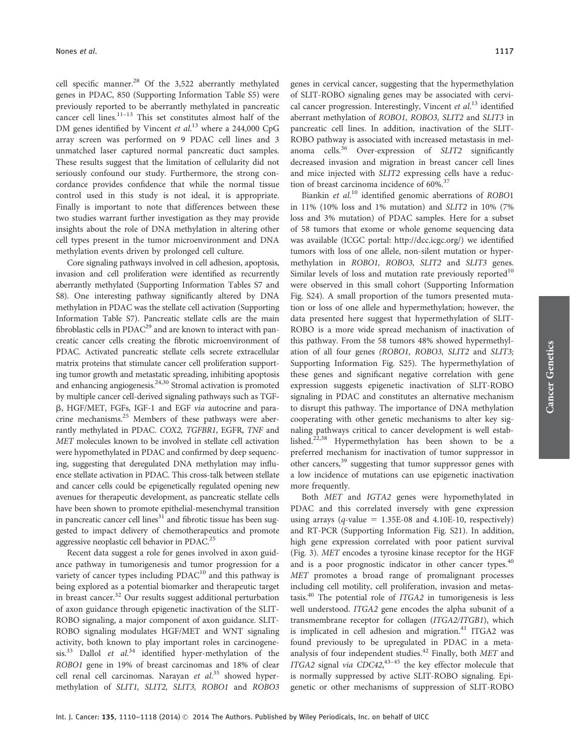cell specific manner.<sup>28</sup> Of the 3,522 aberrantly methylated genes in PDAC, 850 (Supporting Information Table S5) were previously reported to be aberrantly methylated in pancreatic cancer cell lines. $11-13$  This set constitutes almost half of the DM genes identified by Vincent et al.<sup>13</sup> where a 244,000 CpG array screen was performed on 9 PDAC cell lines and 3 unmatched laser captured normal pancreatic duct samples. These results suggest that the limitation of cellularity did not seriously confound our study. Furthermore, the strong concordance provides confidence that while the normal tissue control used in this study is not ideal, it is appropriate. Finally is important to note that differences between these two studies warrant further investigation as they may provide insights about the role of DNA methylation in altering other cell types present in the tumor microenvironment and DNA methylation events driven by prolonged cell culture.

Core signaling pathways involved in cell adhesion, apoptosis, invasion and cell proliferation were identified as recurrently aberrantly methylated (Supporting Information Tables S7 and S8). One interesting pathway significantly altered by DNA methylation in PDAC was the stellate cell activation (Supporting Information Table S7). Pancreatic stellate cells are the main fibroblastic cells in PDAC<sup>29</sup> and are known to interact with pancreatic cancer cells creating the fibrotic microenvironment of PDAC. Activated pancreatic stellate cells secrete extracellular matrix proteins that stimulate cancer cell proliferation supporting tumor growth and metastatic spreading, inhibiting apoptosis and enhancing angiogenesis. $24,30$  Stromal activation is promoted by multiple cancer cell-derived signaling pathways such as TGFb, HGF/MET, FGFs, IGF-1 and EGF via autocrine and paracrine mechanisms.<sup>25</sup> Members of these pathways were aberrantly methylated in PDAC. COX2, TGFBR1, EGFR, TNF and MET molecules known to be involved in stellate cell activation were hypomethylated in PDAC and confirmed by deep sequencing, suggesting that deregulated DNA methylation may influence stellate activation in PDAC. This cross-talk between stellate and cancer cells could be epigenetically regulated opening new avenues for therapeutic development, as pancreatic stellate cells have been shown to promote epithelial-mesenchymal transition in pancreatic cancer cell lines $31$  and fibrotic tissue has been suggested to impact delivery of chemotherapeutics and promote aggressive neoplastic cell behavior in PDAC.25

Recent data suggest a role for genes involved in axon guidance pathway in tumorigenesis and tumor progression for a variety of cancer types including PDAC<sup>10</sup> and this pathway is being explored as a potential biomarker and therapeutic target in breast cancer.<sup>32</sup> Our results suggest additional perturbation of axon guidance through epigenetic inactivation of the SLIT-ROBO signaling, a major component of axon guidance. SLIT-ROBO signaling modulates HGF/MET and WNT signaling activity, both known to play important roles in carcinogenesis.<sup>33</sup> Dallol et al.<sup>34</sup> identified hyper-methylation of the ROBO1 gene in 19% of breast carcinomas and 18% of clear cell renal cell carcinomas. Narayan et al.<sup>35</sup> showed hypermethylation of SLIT1, SLIT2, SLIT3, ROBO1 and ROBO3

genes in cervical cancer, suggesting that the hypermethylation of SLIT-ROBO signaling genes may be associated with cervical cancer progression. Interestingly, Vincent et al.<sup>13</sup> identified aberrant methylation of ROBO1, ROBO3, SLIT2 and SLIT3 in pancreatic cell lines. In addition, inactivation of the SLIT-ROBO pathway is associated with increased metastasis in melanoma cells.<sup>36</sup> Over-expression of SLIT2 significantly decreased invasion and migration in breast cancer cell lines and mice injected with SLIT2 expressing cells have a reduction of breast carcinoma incidence of  $60\%$ .<sup>37</sup>

Biankin et al.<sup>10</sup> identified genomic aberrations of ROBO1 in 11% (10% loss and 1% mutation) and SLIT2 in 10% (7% loss and 3% mutation) of PDAC samples. Here for a subset of 58 tumors that exome or whole genome sequencing data was available (ICGC portal:<http://dcc.icgc.org/>) we identified tumors with loss of one allele, non-silent mutation or hypermethylation in ROBO1, ROBO3, SLIT2 and SLIT3 genes. Similar levels of loss and mutation rate previously reported<sup>10</sup> were observed in this small cohort (Supporting Information Fig. S24). A small proportion of the tumors presented mutation or loss of one allele and hypermethylation; however, the data presented here suggest that hypermethylation of SLIT-ROBO is a more wide spread mechanism of inactivation of this pathway. From the 58 tumors 48% showed hypermethylation of all four genes (ROBO1, ROBO3, SLIT2 and SLIT3; Supporting Information Fig. S25). The hypermethylation of these genes and significant negative correlation with gene expression suggests epigenetic inactivation of SLIT-ROBO signaling in PDAC and constitutes an alternative mechanism to disrupt this pathway. The importance of DNA methylation cooperating with other genetic mechanisms to alter key signaling pathways critical to cancer development is well established.<sup>22,38</sup> Hypermethylation has been shown to be a preferred mechanism for inactivation of tumor suppressor in other cancers,<sup>39</sup> suggesting that tumor suppressor genes with a low incidence of mutations can use epigenetic inactivation more frequently.

Both MET and IGTA2 genes were hypomethylated in PDAC and this correlated inversely with gene expression using arrays ( $q$ -value = 1.35E-08 and 4.10E-10, respectively) and RT-PCR (Supporting Information Fig. S21). In addition, high gene expression correlated with poor patient survival (Fig. 3). MET encodes a tyrosine kinase receptor for the HGF and is a poor prognostic indicator in other cancer types.<sup>40</sup> MET promotes a broad range of promalignant processes including cell motility, cell proliferation, invasion and metastasis.<sup>40</sup> The potential role of  $ITGA2$  in tumorigenesis is less well understood. ITGA2 gene encodes the alpha subunit of a transmembrane receptor for collagen (ITGA2/ITGB1), which is implicated in cell adhesion and migration. $41$  ITGA2 was found previously to be upregulated in PDAC in a metaanalysis of four independent studies.<sup>42</sup> Finally, both  $MET$  and ITGA2 signal via CDC42, $43-45$  the key effector molecule that is normally suppressed by active SLIT-ROBO signaling. Epigenetic or other mechanisms of suppression of SLIT-ROBO Cancer Genetics

**Cancer Genetics**